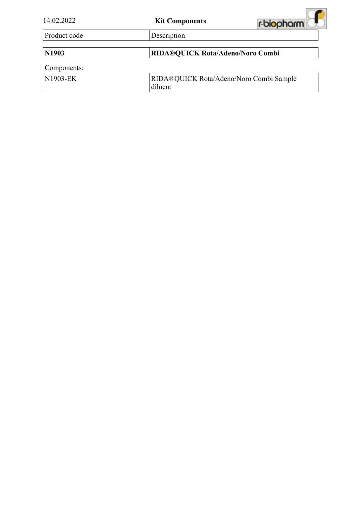| 14.02.2022   | <b>Kit Components</b>                              | r-biopharm |
|--------------|----------------------------------------------------|------------|
| Product code | Description                                        |            |
| N1903        | RIDA®QUICK Rota/Adeno/Noro Combi                   |            |
| Components:  |                                                    |            |
| N1903-EK     | RIDA®QUICK Rota/Adeno/Noro Combi Sample<br>diluent |            |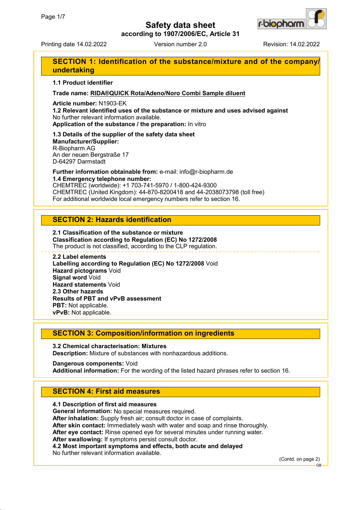

**according to 1907/2006/EC, Article 31**

Printing date 14.02.2022 Version number 2.0 Revision: 14.02.2022

# **SECTION 1: Identification of the substance/mixture and of the company/ undertaking**

#### **1.1 Product identifier**

### **Trade name: RIDA®QUICK Rota/Adeno/Noro Combi Sample diluent**

**Article number:** N1903-EK

**1.2 Relevant identified uses of the substance or mixture and uses advised against** No further relevant information available.

**Application of the substance / the preparation:** In vitro

**1.3 Details of the supplier of the safety data sheet Manufacturer/Supplier:** R-Biopharm AG An der neuen Bergstraße 17 D-64297 Darmstadt

**Further information obtainable from:** e-mail: info@r-biopharm.de **1.4 Emergency telephone number:**

CHEMTREC (worldwide): +1 703-741-5970 / 1-800-424-9300 CHEMTREC (United Kingdom): 44-870-8200418 and 44-2038073798 (toll free) For additional worldwide local emergency numbers refer to section 16.

## **SECTION 2: Hazards identification**

**2.1 Classification of the substance or mixture Classification according to Regulation (EC) No 1272/2008** The product is not classified, according to the CLP regulation.

#### **2.2 Label elements**

**Labelling according to Regulation (EC) No 1272/2008** Void **Hazard pictograms** Void **Signal word** Void **Hazard statements** Void **2.3 Other hazards Results of PBT and vPvB assessment PBT:** Not applicable. **vPvB:** Not applicable.

## **SECTION 3: Composition/information on ingredients**

**3.2 Chemical characterisation: Mixtures Description:** Mixture of substances with nonhazardous additions.

**Dangerous components:** Void **Additional information:** For the wording of the listed hazard phrases refer to section 16.

# **SECTION 4: First aid measures**

**4.1 Description of first aid measures General information:** No special measures required. **After inhalation:** Supply fresh air; consult doctor in case of complaints. **After skin contact:** Immediately wash with water and soap and rinse thoroughly. **After eye contact:** Rinse opened eye for several minutes under running water. **After swallowing:** If symptoms persist consult doctor. **4.2 Most important symptoms and effects, both acute and delayed** No further relevant information available.

(Contd. on page 2)

GB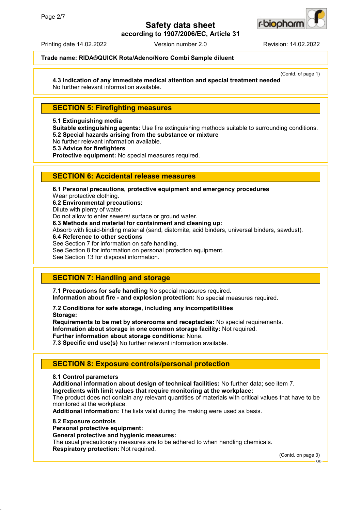

**according to 1907/2006/EC, Article 31**

Printing date 14.02.2022 Version number 2.0 Revision: 14.02.2022

## **Trade name: RIDA®QUICK Rota/Adeno/Noro Combi Sample diluent**

(Contd. of page 1) **4.3 Indication of any immediate medical attention and special treatment needed**

No further relevant information available.

## **SECTION 5: Firefighting measures**

#### **5.1 Extinguishing media**

**Suitable extinguishing agents:** Use fire extinguishing methods suitable to surrounding conditions. **5.2 Special hazards arising from the substance or mixture**

No further relevant information available.

**5.3 Advice for firefighters**

**Protective equipment:** No special measures required.

## **SECTION 6: Accidental release measures**

**6.1 Personal precautions, protective equipment and emergency procedures** Wear protective clothing. **6.2 Environmental precautions:**

Dilute with plenty of water.

Do not allow to enter sewers/ surface or ground water. **6.3 Methods and material for containment and cleaning up:**

Absorb with liquid-binding material (sand, diatomite, acid binders, universal binders, sawdust).

**6.4 Reference to other sections**

See Section 7 for information on safe handling.

See Section 8 for information on personal protection equipment.

See Section 13 for disposal information.

# **SECTION 7: Handling and storage**

**7.1 Precautions for safe handling** No special measures required.

**Information about fire - and explosion protection:** No special measures required.

**7.2 Conditions for safe storage, including any incompatibilities Storage:**

**Requirements to be met by storerooms and receptacles:** No special requirements. **Information about storage in one common storage facility:** Not required. **Further information about storage conditions:** None.

**7.3 Specific end use(s)** No further relevant information available.

# **SECTION 8: Exposure controls/personal protection**

**8.1 Control parameters**

**Additional information about design of technical facilities:** No further data; see item 7. **Ingredients with limit values that require monitoring at the workplace:**

The product does not contain any relevant quantities of materials with critical values that have to be monitored at the workplace.

**Additional information:** The lists valid during the making were used as basis.

#### **8.2 Exposure controls**

**Personal protective equipment:**

**General protective and hygienic measures:**

The usual precautionary measures are to be adhered to when handling chemicals. **Respiratory protection:** Not required.

(Contd. on page 3)

GB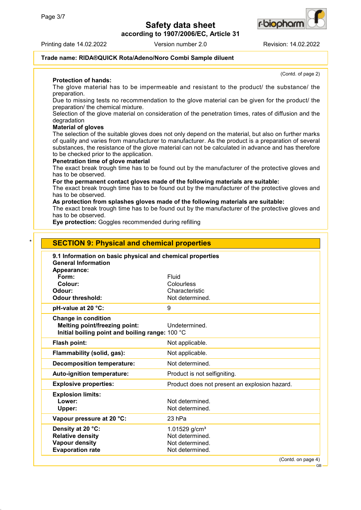**according to 1907/2006/EC, Article 31**



Printing date 14.02.2022 Version number 2.0 Revision: 14.02.2022

(Contd. of page 2)

### **Trade name: RIDA®QUICK Rota/Adeno/Noro Combi Sample diluent**

**Protection of hands:**

The glove material has to be impermeable and resistant to the product/ the substance/ the preparation.

Due to missing tests no recommendation to the glove material can be given for the product/ the preparation/ the chemical mixture.

Selection of the glove material on consideration of the penetration times, rates of diffusion and the degradation

#### **Material of gloves**

The selection of the suitable gloves does not only depend on the material, but also on further marks of quality and varies from manufacturer to manufacturer. As the product is a preparation of several substances, the resistance of the glove material can not be calculated in advance and has therefore to be checked prior to the application.

### **Penetration time of glove material**

The exact break trough time has to be found out by the manufacturer of the protective gloves and has to be observed.

**For the permanent contact gloves made of the following materials are suitable:**

The exact break trough time has to be found out by the manufacturer of the protective gloves and has to be observed.

**As protection from splashes gloves made of the following materials are suitable:**

The exact break trough time has to be found out by the manufacturer of the protective gloves and has to be observed.

**Eye protection:** Goggles recommended during refilling

| Appearance:<br>Fluid<br>Form:<br>Colour:<br>Colourless<br>Odour:<br>Characteristic<br><b>Odour threshold:</b><br>Not determined.<br>pH-value at 20 °C:<br>9<br><b>Change in condition</b><br><b>Melting point/freezing point:</b><br>Undetermined.<br>Initial boiling point and boiling range: 100 °C<br>Flash point:<br>Not applicable.<br>Flammability (solid, gas):<br>Not applicable.<br>Not determined.<br><b>Decomposition temperature:</b><br>Auto-ignition temperature:<br>Product is not selfigniting.<br><b>Explosive properties:</b><br>Product does not present an explosion hazard.<br><b>Explosion limits:</b><br>Lower:<br>Not determined.<br>Not determined.<br>Upper:<br>Vapour pressure at 20 °C:<br>$23$ hPa<br>Density at 20 °C:<br>1.01529 $g/cm3$<br><b>Relative density</b><br>Not determined.<br><b>Vapour density</b><br>Not determined. | 9.1 Information on basic physical and chemical properties<br><b>General Information</b> |  |
|-------------------------------------------------------------------------------------------------------------------------------------------------------------------------------------------------------------------------------------------------------------------------------------------------------------------------------------------------------------------------------------------------------------------------------------------------------------------------------------------------------------------------------------------------------------------------------------------------------------------------------------------------------------------------------------------------------------------------------------------------------------------------------------------------------------------------------------------------------------------|-----------------------------------------------------------------------------------------|--|
|                                                                                                                                                                                                                                                                                                                                                                                                                                                                                                                                                                                                                                                                                                                                                                                                                                                                   |                                                                                         |  |
|                                                                                                                                                                                                                                                                                                                                                                                                                                                                                                                                                                                                                                                                                                                                                                                                                                                                   |                                                                                         |  |
|                                                                                                                                                                                                                                                                                                                                                                                                                                                                                                                                                                                                                                                                                                                                                                                                                                                                   |                                                                                         |  |
|                                                                                                                                                                                                                                                                                                                                                                                                                                                                                                                                                                                                                                                                                                                                                                                                                                                                   |                                                                                         |  |
|                                                                                                                                                                                                                                                                                                                                                                                                                                                                                                                                                                                                                                                                                                                                                                                                                                                                   |                                                                                         |  |
|                                                                                                                                                                                                                                                                                                                                                                                                                                                                                                                                                                                                                                                                                                                                                                                                                                                                   |                                                                                         |  |
|                                                                                                                                                                                                                                                                                                                                                                                                                                                                                                                                                                                                                                                                                                                                                                                                                                                                   |                                                                                         |  |
|                                                                                                                                                                                                                                                                                                                                                                                                                                                                                                                                                                                                                                                                                                                                                                                                                                                                   |                                                                                         |  |
|                                                                                                                                                                                                                                                                                                                                                                                                                                                                                                                                                                                                                                                                                                                                                                                                                                                                   |                                                                                         |  |
|                                                                                                                                                                                                                                                                                                                                                                                                                                                                                                                                                                                                                                                                                                                                                                                                                                                                   |                                                                                         |  |
|                                                                                                                                                                                                                                                                                                                                                                                                                                                                                                                                                                                                                                                                                                                                                                                                                                                                   |                                                                                         |  |
|                                                                                                                                                                                                                                                                                                                                                                                                                                                                                                                                                                                                                                                                                                                                                                                                                                                                   |                                                                                         |  |
|                                                                                                                                                                                                                                                                                                                                                                                                                                                                                                                                                                                                                                                                                                                                                                                                                                                                   |                                                                                         |  |
|                                                                                                                                                                                                                                                                                                                                                                                                                                                                                                                                                                                                                                                                                                                                                                                                                                                                   |                                                                                         |  |
|                                                                                                                                                                                                                                                                                                                                                                                                                                                                                                                                                                                                                                                                                                                                                                                                                                                                   |                                                                                         |  |
|                                                                                                                                                                                                                                                                                                                                                                                                                                                                                                                                                                                                                                                                                                                                                                                                                                                                   |                                                                                         |  |
|                                                                                                                                                                                                                                                                                                                                                                                                                                                                                                                                                                                                                                                                                                                                                                                                                                                                   |                                                                                         |  |
|                                                                                                                                                                                                                                                                                                                                                                                                                                                                                                                                                                                                                                                                                                                                                                                                                                                                   |                                                                                         |  |
|                                                                                                                                                                                                                                                                                                                                                                                                                                                                                                                                                                                                                                                                                                                                                                                                                                                                   |                                                                                         |  |
|                                                                                                                                                                                                                                                                                                                                                                                                                                                                                                                                                                                                                                                                                                                                                                                                                                                                   |                                                                                         |  |
| <b>Evaporation rate</b>                                                                                                                                                                                                                                                                                                                                                                                                                                                                                                                                                                                                                                                                                                                                                                                                                                           |                                                                                         |  |

GB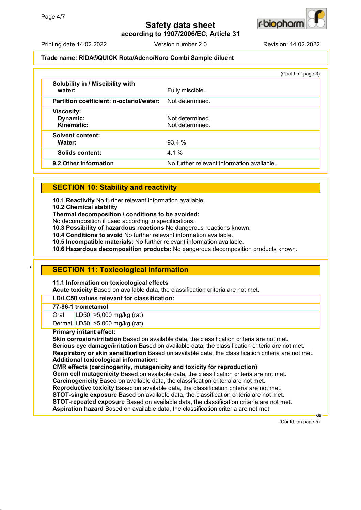

**according to 1907/2006/EC, Article 31**

Printing date 14.02.2022 Version number 2.0 Revision: 14.02.2022

### **Trade name: RIDA®QUICK Rota/Adeno/Noro Combi Sample diluent**

|                                             | (Contd. of page 3)                         |
|---------------------------------------------|--------------------------------------------|
| Solubility in / Miscibility with<br>water:  | Fully miscible.                            |
| Partition coefficient: n-octanol/water:     | Not determined.                            |
| <b>Viscosity:</b><br>Dynamic:<br>Kinematic: | Not determined.<br>Not determined.         |
| <b>Solvent content:</b><br>Water:           | 93.4 %                                     |
| <b>Solids content:</b>                      | $4.1\%$                                    |
| 9.2 Other information                       | No further relevant information available. |

# **SECTION 10: Stability and reactivity**

**10.1 Reactivity** No further relevant information available.

**10.2 Chemical stability**

**Thermal decomposition / conditions to be avoided:**

No decomposition if used according to specifications.

**10.3 Possibility of hazardous reactions** No dangerous reactions known.

**10.4 Conditions to avoid** No further relevant information available.

**10.5 Incompatible materials:** No further relevant information available.

**10.6 Hazardous decomposition products:** No dangerous decomposition products known.

# **SECTION 11: Toxicological information**

**11.1 Information on toxicological effects**

**Acute toxicity** Based on available data, the classification criteria are not met.

### **LD/LC50 values relevant for classification:**

### **77-86-1 trometamol**

Oral LD50 >5,000 mg/kg (rat)

Dermal LD50 >5,000 mg/kg (rat)

### **Primary irritant effect:**

**Skin corrosion/irritation** Based on available data, the classification criteria are not met. **Serious eye damage/irritation** Based on available data, the classification criteria are not met. **Respiratory or skin sensitisation** Based on available data, the classification criteria are not met. **Additional toxicological information:**

**CMR effects (carcinogenity, mutagenicity and toxicity for reproduction)**

**Germ cell mutagenicity** Based on available data, the classification criteria are not met. **Carcinogenicity** Based on available data, the classification criteria are not met. **Reproductive toxicity** Based on available data, the classification criteria are not met.

**STOT-single exposure** Based on available data, the classification criteria are not met.

**STOT-repeated exposure** Based on available data, the classification criteria are not met. **Aspiration hazard** Based on available data, the classification criteria are not met.

(Contd. on page 5)

GB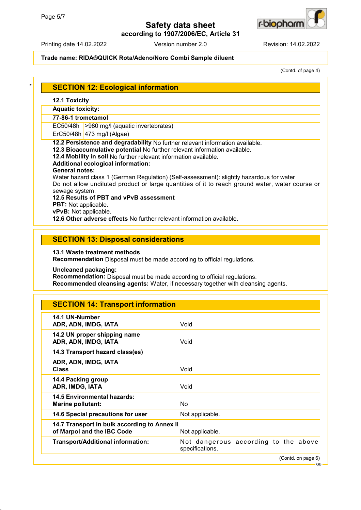



Printing date 14.02.2022 Version number 2.0 Revision: 14.02.2022

### **Trade name: RIDA®QUICK Rota/Adeno/Noro Combi Sample diluent**

(Contd. of page 4)

| $\star$ | SECTION 12: Ecological information |  |
|---------|------------------------------------|--|
|         |                                    |  |

## **12.1 Toxicity**

**Aquatic toxicity:**

### **77-86-1 trometamol**

EC50/48h >980 mg/l (aquatic invertebrates)

ErC50/48h 473 mg/l (Algae)

**12.2 Persistence and degradability** No further relevant information available.

**12.3 Bioaccumulative potential** No further relevant information available.

**12.4 Mobility in soil** No further relevant information available.

## **Additional ecological information:**

### **General notes:**

Water hazard class 1 (German Regulation) (Self-assessment): slightly hazardous for water Do not allow undiluted product or large quantities of it to reach ground water, water course or sewage system.

## **12.5 Results of PBT and vPvB assessment**

**PBT:** Not applicable.

**vPvB:** Not applicable.

**12.6 Other adverse effects** No further relevant information available.

## **SECTION 13: Disposal considerations**

### **13.1 Waste treatment methods**

**Recommendation** Disposal must be made according to official regulations.

**Uncleaned packaging:**

**Recommendation:** Disposal must be made according to official regulations.

**Recommended cleansing agents:** Water, if necessary together with cleansing agents.

| <b>SECTION 14: Transport information</b>                                   |                                                         |  |                    |
|----------------------------------------------------------------------------|---------------------------------------------------------|--|--------------------|
| 14.1 UN-Number<br>ADR, ADN, IMDG, IATA                                     | Void                                                    |  |                    |
| 14.2 UN proper shipping name<br>ADR, ADN, IMDG, IATA                       | Void                                                    |  |                    |
| 14.3 Transport hazard class(es)                                            |                                                         |  |                    |
| ADR, ADN, IMDG, IATA<br><b>Class</b>                                       | Void                                                    |  |                    |
| 14.4 Packing group<br>ADR, IMDG, IATA                                      | Void                                                    |  |                    |
| <b>14.5 Environmental hazards:</b><br><b>Marine pollutant:</b>             | N <sub>o</sub>                                          |  |                    |
| 14.6 Special precautions for user                                          | Not applicable.                                         |  |                    |
| 14.7 Transport in bulk according to Annex II<br>of Marpol and the IBC Code | Not applicable.                                         |  |                    |
| <b>Transport/Additional information:</b>                                   | Not dangerous according to the above<br>specifications. |  |                    |
|                                                                            |                                                         |  | (Contd. on page 6) |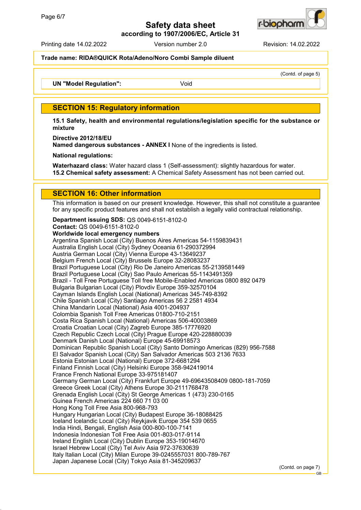

**according to 1907/2006/EC, Article 31**

Printing date 14.02.2022 Version number 2.0 Revision: 14.02.2022

#### **Trade name: RIDA®QUICK Rota/Adeno/Noro Combi Sample diluent**

(Contd. of page 5)

**UN "Model Requlation":** Void

## **SECTION 15: Regulatory information**

**15.1 Safety, health and environmental regulations/legislation specific for the substance or mixture**

**Directive 2012/18/EU**

**Named dangerous substances - ANNEX I** None of the ingredients is listed.

**National regulations:**

**Waterhazard class:** Water hazard class 1 (Self-assessment): slightly hazardous for water. **15.2 Chemical safety assessment:** A Chemical Safety Assessment has not been carried out.

### **SECTION 16: Other information**

This information is based on our present knowledge. However, this shall not constitute a guarantee for any specific product features and shall not establish a legally valid contractual relationship.

**Department issuing SDS:** QS 0049-6151-8102-0 **Contact:** QS 0049-6151-8102-0

**Worldwide local emergency numbers** Argentina Spanish Local (City) Buenos Aires Americas 54-1159839431 Australia English Local (City) Sydney Oceania 61-290372994 Austria German Local (City) Vienna Europe 43-13649237 Belgium French Local (City) Brussels Europe 32-28083237 Brazil Portuguese Local (City) Rio De Janeiro Americas 55-2139581449 Brazil Portuguese Local (City) Sao Paulo Americas 55-1143491359 Brazil - Toll Free Portuguese Toll free Mobile-Enabled Americas 0800 892 0479 Bulgaria Bulgarian Local (City) Plovdiv Europe 359-32570104 Cayman Islands English Local (National) Americas 345-749-8392 Chile Spanish Local (City) Santiago Americas 56 2 2581 4934 China Mandarin Local (National) Asia 4001-204937 Colombia Spanish Toll Free Americas 01800-710-2151 Costa Rica Spanish Local (National) Americas 506-40003869 Croatia Croatian Local (City) Zagreb Europe 385-17776920 Czech Republic Czech Local (City) Prague Europe 420-228880039 Denmark Danish Local (National) Europe 45-69918573 Dominican Republic Spanish Local (City) Santo Domingo Americas (829) 956-7588 El Salvador Spanish Local (City) San Salvador Americas 503 2136 7633 Estonia Estonian Local (National) Europe 372-6681294 Finland Finnish Local (City) Helsinki Europe 358-942419014 France French National Europe 33-975181407 Germany German Local (City) Frankfurt Europe 49-69643508409 0800-181-7059 Greece Greek Local (City) Athens Europe 30-2111768478 Grenada English Local (City) St George Americas 1 (473) 230-0165 Guinea French Americas 224 660 71 03 00 Hong Kong Toll Free Asia 800-968-793 Hungary Hungarian Local (City) Budapest Europe 36-18088425 Iceland Icelandic Local (City) Reykjavik Europe 354 539 0655 India Hindi, Bengali, English Asia 000-800-100-7141 Indonesia Indonesian Toll Free Asia 001-803-017-9114 Ireland English Local (City) Dublin Europe 353-19014670 Israel Hebrew Local (City) Tel Aviv Asia 972-37630639 Italy Italian Local (City) Milan Europe 39-0245557031 800-789-767 Japan Japanese Local (City) Tokyo Asia 81-345209637

(Contd. on page 7)

GB